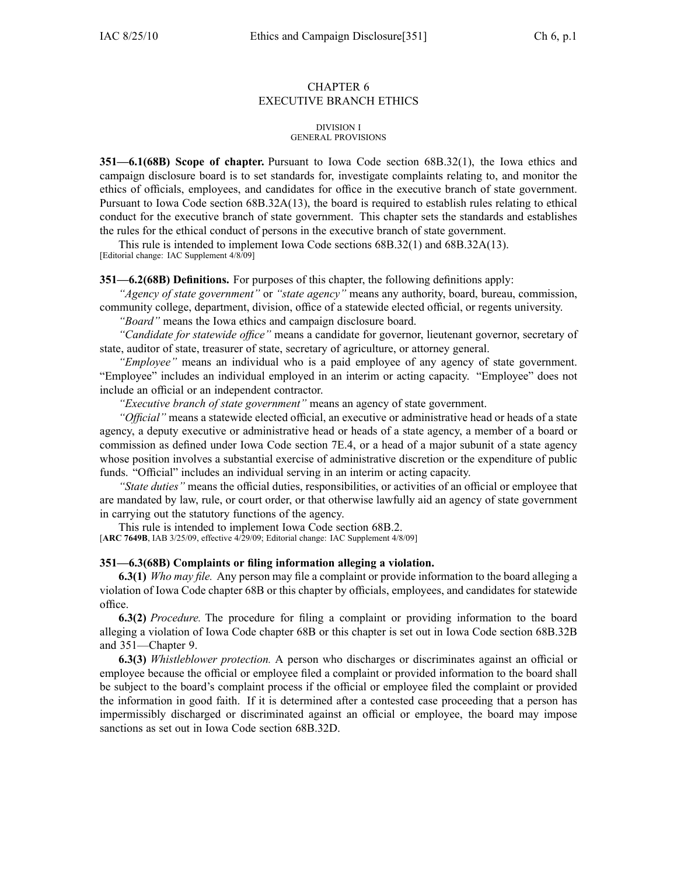# CHAPTER 6 EXECUTIVE BRANCH ETHICS

## DIVISION I GENERAL PROVISIONS

**351—6.1(68B) Scope of chapter.** Pursuant to Iowa Code section 68B.32(1), the Iowa ethics and campaign disclosure board is to set standards for, investigate complaints relating to, and monitor the ethics of officials, employees, and candidates for office in the executive branch of state government. Pursuant to Iowa Code section 68B.32A(13), the board is required to establish rules relating to ethical conduct for the executive branch of state government. This chapter sets the standards and establishes the rules for the ethical conduct of persons in the executive branch of state government.

This rule is intended to implement Iowa Code sections 68B.32(1) and 68B.32A(13). [Editorial change: IAC Supplement 4/8/09]

# **351—6.2(68B) Definitions.** For purposes of this chapter, the following definitions apply:

*"Agency of state government"* or *"state agency"* means any authority, board, bureau, commission, community college, department, division, office of <sup>a</sup> statewide elected official, or regents university.

*"Board"* means the Iowa ethics and campaign disclosure board.

*"Candidate for statewide office"* means <sup>a</sup> candidate for governor, lieutenant governor, secretary of state, auditor of state, treasurer of state, secretary of agriculture, or attorney general.

*"Employee"* means an individual who is <sup>a</sup> paid employee of any agency of state government. "Employee" includes an individual employed in an interim or acting capacity. "Employee" does not include an official or an independent contractor.

*"Executive branch of state government"* means an agency of state government.

*"Official"* means <sup>a</sup> statewide elected official, an executive or administrative head or heads of <sup>a</sup> state agency, <sup>a</sup> deputy executive or administrative head or heads of <sup>a</sup> state agency, <sup>a</sup> member of <sup>a</sup> board or commission as defined under Iowa Code section 7E.4, or <sup>a</sup> head of <sup>a</sup> major subunit of <sup>a</sup> state agency whose position involves <sup>a</sup> substantial exercise of administrative discretion or the expenditure of public funds. "Official" includes an individual serving in an interim or acting capacity.

*"State duties"* means the official duties, responsibilities, or activities of an official or employee that are mandated by law, rule, or court order, or that otherwise lawfully aid an agency of state governmen<sup>t</sup> in carrying out the statutory functions of the agency.

This rule is intended to implement Iowa Code section 68B.2.

[**ARC 7649B**, IAB 3/25/09, effective 4/29/09; Editorial change: IAC Supplement 4/8/09]

# **351—6.3(68B) Complaints or filing information alleging <sup>a</sup> violation.**

**6.3(1)** *Who may file.* Any person may file <sup>a</sup> complaint or provide information to the board alleging <sup>a</sup> violation of Iowa Code chapter 68B or this chapter by officials, employees, and candidates for statewide office.

**6.3(2)** *Procedure.* The procedure for filing <sup>a</sup> complaint or providing information to the board alleging <sup>a</sup> violation of Iowa Code chapter 68B or this chapter is set out in Iowa Code section 68B.32B and 351—Chapter 9.

**6.3(3)** *Whistleblower protection.* A person who discharges or discriminates against an official or employee because the official or employee filed <sup>a</sup> complaint or provided information to the board shall be subject to the board's complaint process if the official or employee filed the complaint or provided the information in good faith. If it is determined after <sup>a</sup> contested case proceeding that <sup>a</sup> person has impermissibly discharged or discriminated against an official or employee, the board may impose sanctions as set out in Iowa Code section 68B.32D.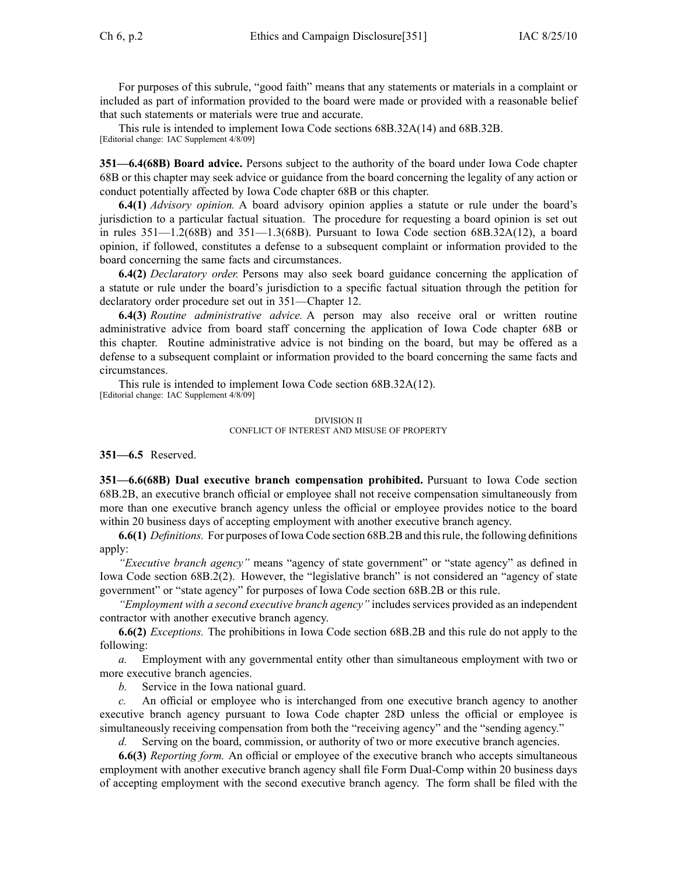For purposes of this subrule, "good faith" means that any statements or materials in <sup>a</sup> complaint or included as par<sup>t</sup> of information provided to the board were made or provided with <sup>a</sup> reasonable belief that such statements or materials were true and accurate.

This rule is intended to implement Iowa Code sections 68B.32A(14) and 68B.32B. [Editorial change: IAC Supplement 4/8/09]

**351—6.4(68B) Board advice.** Persons subject to the authority of the board under Iowa Code chapter 68B or this chapter may seek advice or guidance from the board concerning the legality of any action or conduct potentially affected by Iowa Code chapter 68B or this chapter.

**6.4(1)** *Advisory opinion.* A board advisory opinion applies <sup>a</sup> statute or rule under the board's jurisdiction to <sup>a</sup> particular factual situation. The procedure for requesting <sup>a</sup> board opinion is set out in rules  $351-1.2(68B)$  and  $351-1.3(68B)$ . Pursuant to Iowa Code section  $68B.32A(12)$ , a board opinion, if followed, constitutes <sup>a</sup> defense to <sup>a</sup> subsequent complaint or information provided to the board concerning the same facts and circumstances.

**6.4(2)** *Declaratory order.* Persons may also seek board guidance concerning the application of <sup>a</sup> statute or rule under the board's jurisdiction to <sup>a</sup> specific factual situation through the petition for declaratory order procedure set out in 351—Chapter 12.

**6.4(3)** *Routine administrative advice.* A person may also receive oral or written routine administrative advice from board staff concerning the application of Iowa Code chapter 68B or this chapter. Routine administrative advice is not binding on the board, but may be offered as <sup>a</sup> defense to <sup>a</sup> subsequent complaint or information provided to the board concerning the same facts and circumstances.

This rule is intended to implement Iowa Code section 68B.32A(12). [Editorial change: IAC Supplement 4/8/09]

> DIVISION II CONFLICT OF INTEREST AND MISUSE OF PROPERTY

**351—6.5** Reserved.

**351—6.6(68B) Dual executive branch compensation prohibited.** Pursuant to Iowa Code section 68B.2B, an executive branch official or employee shall not receive compensation simultaneously from more than one executive branch agency unless the official or employee provides notice to the board within 20 business days of accepting employment with another executive branch agency.

**6.6(1)** *Definitions.* For purposes of Iowa Code section 68B.2B and thisrule, the following definitions apply:

*"Executive branch agency"* means "agency of state government" or "state agency" as defined in Iowa Code section 68B.2(2). However, the "legislative branch" is not considered an "agency of state government" or "state agency" for purposes of Iowa Code section 68B.2B or this rule.

*"Employment with <sup>a</sup> second executive branch agency"* includes services provided as an independent contractor with another executive branch agency.

**6.6(2)** *Exceptions.* The prohibitions in Iowa Code section 68B.2B and this rule do not apply to the following:

*a.* Employment with any governmental entity other than simultaneous employment with two or more executive branch agencies.

*b.* Service in the Iowa national guard.

*c.* An official or employee who is interchanged from one executive branch agency to another executive branch agency pursuan<sup>t</sup> to Iowa Code chapter 28D unless the official or employee is simultaneously receiving compensation from both the "receiving agency" and the "sending agency."

*d.* Serving on the board, commission, or authority of two or more executive branch agencies.

**6.6(3)** *Reporting form.* An official or employee of the executive branch who accepts simultaneous employment with another executive branch agency shall file Form Dual-Comp within 20 business days of accepting employment with the second executive branch agency. The form shall be filed with the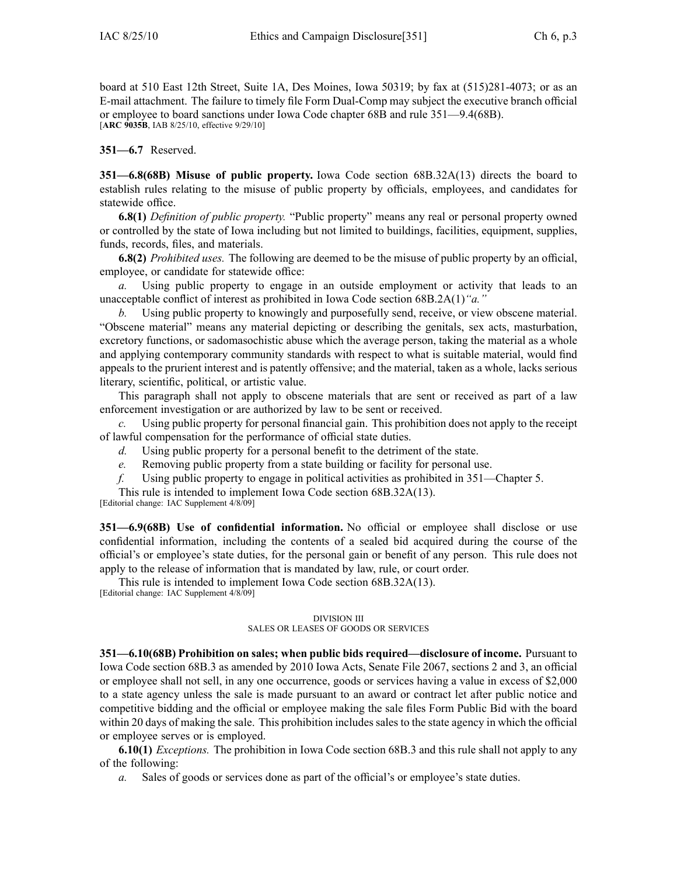board at 510 East 12th Street, Suite 1A, Des Moines, Iowa 50319; by fax at (515)281-4073; or as an E-mail attachment. The failure to timely file Form Dual-Comp may subject the executive branch official or employee to board sanctions under Iowa Code chapter 68B and rule 351—9.4(68B). [**ARC 9035B**, IAB 8/25/10, effective 9/29/10]

**351—6.7** Reserved.

**351—6.8(68B) Misuse of public property.** Iowa Code section 68B.32A(13) directs the board to establish rules relating to the misuse of public property by officials, employees, and candidates for statewide office.

**6.8(1)** *Definition of public property.* "Public property" means any real or personal property owned or controlled by the state of Iowa including but not limited to buildings, facilities, equipment, supplies, funds, records, files, and materials.

**6.8(2)** *Prohibited uses.* The following are deemed to be the misuse of public property by an official, employee, or candidate for statewide office:

*a.* Using public property to engage in an outside employment or activity that leads to an unacceptable conflict of interest as prohibited in Iowa Code section 68B.2A(1)*"a."*

*b.* Using public property to knowingly and purposefully send, receive, or view obscene material. "Obscene material" means any material depicting or describing the genitals, sex acts, masturbation, excretory functions, or sadomasochistic abuse which the average person, taking the material as <sup>a</sup> whole and applying contemporary community standards with respec<sup>t</sup> to what is suitable material, would find appeals to the prurient interest and is patently offensive; and the material, taken as <sup>a</sup> whole, lacks serious literary, scientific, political, or artistic value.

This paragraph shall not apply to obscene materials that are sent or received as par<sup>t</sup> of <sup>a</sup> law enforcement investigation or are authorized by law to be sent or received.

*c.* Using public property for personal financial gain. This prohibition does not apply to the receipt of lawful compensation for the performance of official state duties.

- *d.* Using public property for <sup>a</sup> personal benefit to the detriment of the state.
- *e.* Removing public property from <sup>a</sup> state building or facility for personal use.
- *f.* Using public property to engage in political activities as prohibited in 351—Chapter 5.

This rule is intended to implement Iowa Code section 68B.32A(13).

[Editorial change: IAC Supplement 4/8/09]

**351—6.9(68B) Use of confidential information.** No official or employee shall disclose or use confidential information, including the contents of <sup>a</sup> sealed bid acquired during the course of the official's or employee's state duties, for the personal gain or benefit of any person. This rule does not apply to the release of information that is mandated by law, rule, or court order.

This rule is intended to implement Iowa Code section 68B.32A(13).

[Editorial change: IAC Supplement 4/8/09]

## DIVISION III SALES OR LEASES OF GOODS OR SERVICES

**351—6.10(68B) Prohibition on sales; when public bids required—disclosure of income.** Pursuant to Iowa Code section 68B.3 as amended by 2010 Iowa Acts, Senate File 2067, sections 2 and 3, an official or employee shall not sell, in any one occurrence, goods or services having <sup>a</sup> value in excess of \$2,000 to <sup>a</sup> state agency unless the sale is made pursuan<sup>t</sup> to an award or contract let after public notice and competitive bidding and the official or employee making the sale files Form Public Bid with the board within 20 days of making the sale. This prohibition includes sales to the state agency in which the official or employee serves or is employed.

**6.10(1)** *Exceptions.* The prohibition in Iowa Code section 68B.3 and this rule shall not apply to any of the following:

*a.* Sales of goods or services done as par<sup>t</sup> of the official's or employee's state duties.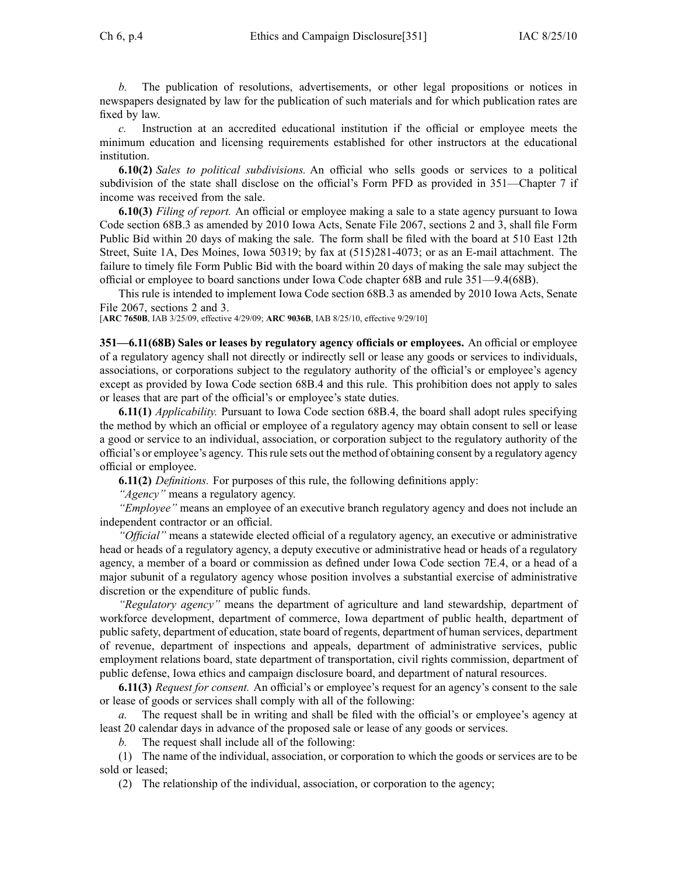*b.* The publication of resolutions, advertisements, or other legal propositions or notices in newspapers designated by law for the publication of such materials and for which publication rates are fixed by law.

*c.* Instruction at an accredited educational institution if the official or employee meets the minimum education and licensing requirements established for other instructors at the educational institution.

**6.10(2)** *Sales to political subdivisions.* An official who sells goods or services to <sup>a</sup> political subdivision of the state shall disclose on the official's Form PFD as provided in 351—Chapter 7 if income was received from the sale.

**6.10(3)** *Filing of report.* An official or employee making <sup>a</sup> sale to <sup>a</sup> state agency pursuan<sup>t</sup> to Iowa Code section 68B.3 as amended by 2010 Iowa Acts, Senate File 2067, sections 2 and 3, shall file Form Public Bid within 20 days of making the sale. The form shall be filed with the board at 510 East 12th Street, Suite 1A, Des Moines, Iowa 50319; by fax at (515)281-4073; or as an E-mail attachment. The failure to timely file Form Public Bid with the board within 20 days of making the sale may subject the official or employee to board sanctions under Iowa Code chapter 68B and rule 351—9.4(68B).

This rule is intended to implement Iowa Code section 68B.3 as amended by 2010 Iowa Acts, Senate File 2067, sections 2 and 3.

[**ARC 7650B**, IAB 3/25/09, effective 4/29/09; **ARC 9036B**, IAB 8/25/10, effective 9/29/10]

**351—6.11(68B) Sales or leases by regulatory agency officials or employees.** An official or employee of <sup>a</sup> regulatory agency shall not directly or indirectly sell or lease any goods or services to individuals, associations, or corporations subject to the regulatory authority of the official's or employee's agency excep<sup>t</sup> as provided by Iowa Code section 68B.4 and this rule. This prohibition does not apply to sales or leases that are par<sup>t</sup> of the official's or employee's state duties.

**6.11(1)** *Applicability.* Pursuant to Iowa Code section 68B.4, the board shall adopt rules specifying the method by which an official or employee of <sup>a</sup> regulatory agency may obtain consent to sell or lease <sup>a</sup> good or service to an individual, association, or corporation subject to the regulatory authority of the official's or employee's agency. Thisrule sets out the method of obtaining consent by <sup>a</sup> regulatory agency official or employee.

**6.11(2)** *Definitions.* For purposes of this rule, the following definitions apply:

*"Agency"* means <sup>a</sup> regulatory agency.

*"Employee"* means an employee of an executive branch regulatory agency and does not include an independent contractor or an official.

*"Official"* means <sup>a</sup> statewide elected official of <sup>a</sup> regulatory agency, an executive or administrative head or heads of <sup>a</sup> regulatory agency, <sup>a</sup> deputy executive or administrative head or heads of <sup>a</sup> regulatory agency, <sup>a</sup> member of <sup>a</sup> board or commission as defined under Iowa Code section 7E.4, or <sup>a</sup> head of <sup>a</sup> major subunit of <sup>a</sup> regulatory agency whose position involves <sup>a</sup> substantial exercise of administrative discretion or the expenditure of public funds.

*"Regulatory agency"* means the department of agriculture and land stewardship, department of workforce development, department of commerce, Iowa department of public health, department of public safety, department of education, state board of regents, department of human services, department of revenue, department of inspections and appeals, department of administrative services, public employment relations board, state department of transportation, civil rights commission, department of public defense, Iowa ethics and campaign disclosure board, and department of natural resources.

**6.11(3)** *Request for consent.* An official's or employee's reques<sup>t</sup> for an agency's consent to the sale or lease of goods or services shall comply with all of the following:

*a.* The reques<sup>t</sup> shall be in writing and shall be filed with the official's or employee's agency at least 20 calendar days in advance of the proposed sale or lease of any goods or services.

*b.* The reques<sup>t</sup> shall include all of the following:

(1) The name of the individual, association, or corporation to which the goods or services are to be sold or leased;

(2) The relationship of the individual, association, or corporation to the agency;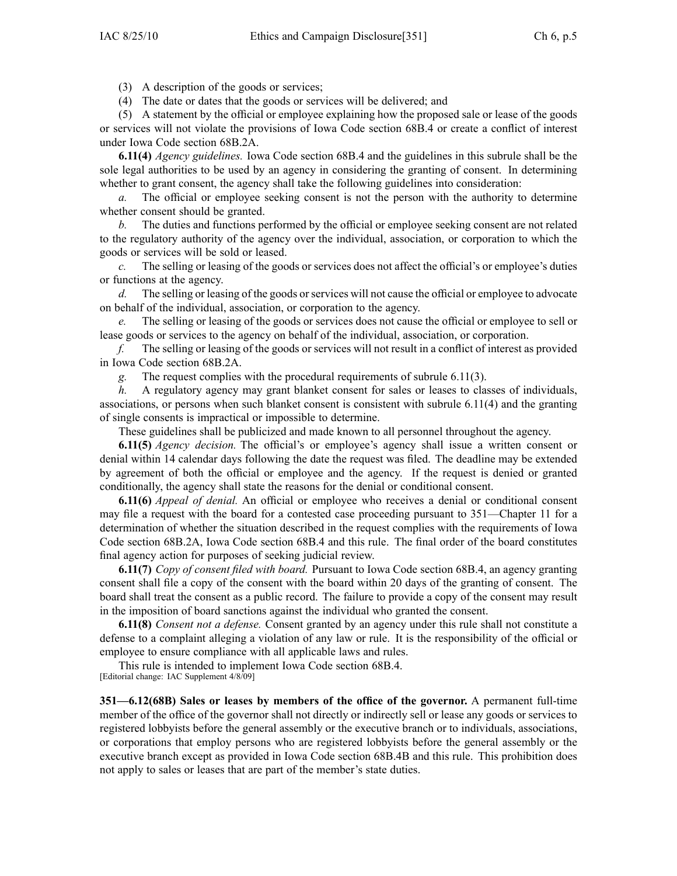(3) A description of the goods or services;

(4) The date or dates that the goods or services will be delivered; and

(5) A statement by the official or employee explaining how the proposed sale or lease of the goods or services will not violate the provisions of Iowa Code section 68B.4 or create <sup>a</sup> conflict of interest under Iowa Code section 68B.2A.

**6.11(4)** *Agency guidelines.* Iowa Code section 68B.4 and the guidelines in this subrule shall be the sole legal authorities to be used by an agency in considering the granting of consent. In determining whether to grant consent, the agency shall take the following guidelines into consideration:

*a.* The official or employee seeking consent is not the person with the authority to determine whether consent should be granted.

*b.* The duties and functions performed by the official or employee seeking consent are not related to the regulatory authority of the agency over the individual, association, or corporation to which the goods or services will be sold or leased.

*c.* The selling or leasing of the goods or services does not affect the official's or employee's duties or functions at the agency.

*d.* The selling or leasing of the goods or services will not cause the official or employee to advocate on behalf of the individual, association, or corporation to the agency.

*e.* The selling or leasing of the goods or services does not cause the official or employee to sell or lease goods or services to the agency on behalf of the individual, association, or corporation.

*f.* The selling or leasing of the goods or services will not result in <sup>a</sup> conflict of interest as provided in Iowa Code section 68B.2A.

*g.* The reques<sup>t</sup> complies with the procedural requirements of subrule 6.11(3).

*h.* A regulatory agency may grant blanket consent for sales or leases to classes of individuals, associations, or persons when such blanket consent is consistent with subrule 6.11(4) and the granting of single consents is impractical or impossible to determine.

These guidelines shall be publicized and made known to all personnel throughout the agency.

**6.11(5)** *Agency decision.* The official's or employee's agency shall issue <sup>a</sup> written consent or denial within 14 calendar days following the date the reques<sup>t</sup> was filed. The deadline may be extended by agreemen<sup>t</sup> of both the official or employee and the agency. If the reques<sup>t</sup> is denied or granted conditionally, the agency shall state the reasons for the denial or conditional consent.

**6.11(6)** *Appeal of denial.* An official or employee who receives <sup>a</sup> denial or conditional consent may file <sup>a</sup> reques<sup>t</sup> with the board for <sup>a</sup> contested case proceeding pursuan<sup>t</sup> to 351—Chapter 11 for <sup>a</sup> determination of whether the situation described in the reques<sup>t</sup> complies with the requirements of Iowa Code section 68B.2A, Iowa Code section 68B.4 and this rule. The final order of the board constitutes final agency action for purposes of seeking judicial review.

**6.11(7)** *Copy of consent filed with board.* Pursuant to Iowa Code section 68B.4, an agency granting consent shall file <sup>a</sup> copy of the consent with the board within 20 days of the granting of consent. The board shall treat the consent as <sup>a</sup> public record. The failure to provide <sup>a</sup> copy of the consent may result in the imposition of board sanctions against the individual who granted the consent.

**6.11(8)** *Consent not <sup>a</sup> defense.* Consent granted by an agency under this rule shall not constitute <sup>a</sup> defense to <sup>a</sup> complaint alleging <sup>a</sup> violation of any law or rule. It is the responsibility of the official or employee to ensure compliance with all applicable laws and rules.

This rule is intended to implement Iowa Code section 68B.4. [Editorial change: IAC Supplement 4/8/09]

**351—6.12(68B) Sales or leases by members of the office of the governor.** A permanen<sup>t</sup> full-time member of the office of the governor shall not directly or indirectly sell or lease any goods or services to registered lobbyists before the general assembly or the executive branch or to individuals, associations, or corporations that employ persons who are registered lobbyists before the general assembly or the executive branch excep<sup>t</sup> as provided in Iowa Code section 68B.4B and this rule. This prohibition does not apply to sales or leases that are par<sup>t</sup> of the member's state duties.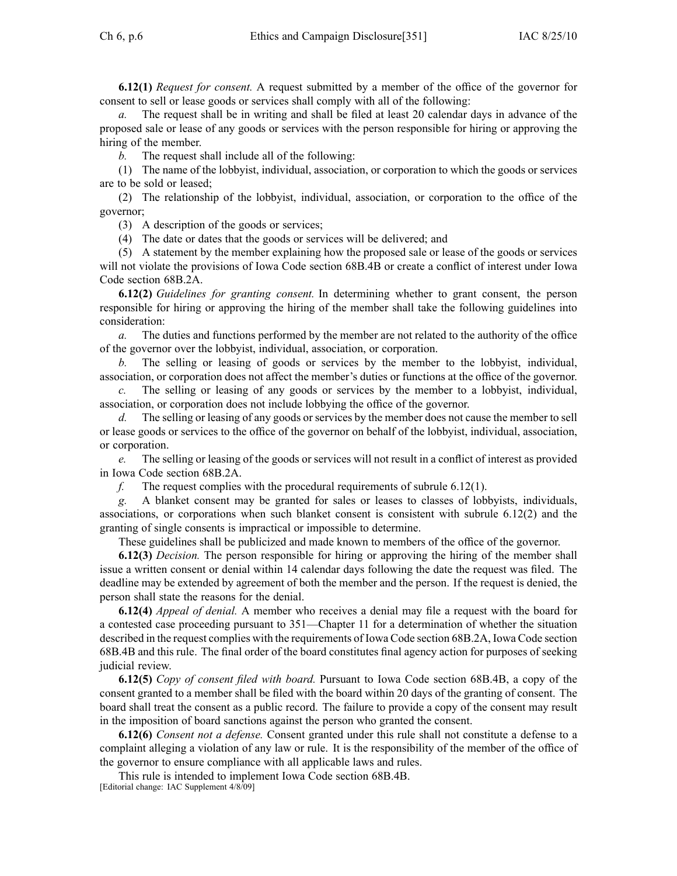**6.12(1)** *Request for consent.* A reques<sup>t</sup> submitted by <sup>a</sup> member of the office of the governor for consent to sell or lease goods or services shall comply with all of the following:

*a.* The reques<sup>t</sup> shall be in writing and shall be filed at least 20 calendar days in advance of the proposed sale or lease of any goods or services with the person responsible for hiring or approving the hiring of the member.

*b.* The reques<sup>t</sup> shall include all of the following:

(1) The name of the lobbyist, individual, association, or corporation to which the goods or services are to be sold or leased;

(2) The relationship of the lobbyist, individual, association, or corporation to the office of the governor;

(3) A description of the goods or services;

(4) The date or dates that the goods or services will be delivered; and

(5) A statement by the member explaining how the proposed sale or lease of the goods or services will not violate the provisions of Iowa Code section 68B.4B or create <sup>a</sup> conflict of interest under Iowa Code section 68B.2A.

**6.12(2)** *Guidelines for granting consent.* In determining whether to gran<sup>t</sup> consent, the person responsible for hiring or approving the hiring of the member shall take the following guidelines into consideration:

*a.* The duties and functions performed by the member are not related to the authority of the office of the governor over the lobbyist, individual, association, or corporation.

*b.* The selling or leasing of goods or services by the member to the lobbyist, individual, association, or corporation does not affect the member's duties or functions at the office of the governor.

*c.* The selling or leasing of any goods or services by the member to <sup>a</sup> lobbyist, individual, association, or corporation does not include lobbying the office of the governor.

*d.* The selling or leasing of any goods or services by the member does not cause the member to sell or lease goods or services to the office of the governor on behalf of the lobbyist, individual, association, or corporation.

*e.* The selling or leasing of the goods or services will not result in <sup>a</sup> conflict of interest as provided in Iowa Code section 68B.2A.

*f.* The reques<sup>t</sup> complies with the procedural requirements of subrule 6.12(1).

*g.* A blanket consent may be granted for sales or leases to classes of lobbyists, individuals, associations, or corporations when such blanket consent is consistent with subrule 6.12(2) and the granting of single consents is impractical or impossible to determine.

These guidelines shall be publicized and made known to members of the office of the governor.

**6.12(3)** *Decision.* The person responsible for hiring or approving the hiring of the member shall issue <sup>a</sup> written consent or denial within 14 calendar days following the date the reques<sup>t</sup> was filed. The deadline may be extended by agreemen<sup>t</sup> of both the member and the person. If the reques<sup>t</sup> is denied, the person shall state the reasons for the denial.

**6.12(4)** *Appeal of denial.* A member who receives <sup>a</sup> denial may file <sup>a</sup> reques<sup>t</sup> with the board for <sup>a</sup> contested case proceeding pursuan<sup>t</sup> to 351—Chapter 11 for <sup>a</sup> determination of whether the situation described in the reques<sup>t</sup> complies with the requirements of Iowa Code section 68B.2A, Iowa Code section 68B.4B and this rule. The final order of the board constitutes final agency action for purposes of seeking judicial review.

**6.12(5)** *Copy of consent filed with board.* Pursuant to Iowa Code section 68B.4B, <sup>a</sup> copy of the consent granted to <sup>a</sup> member shall be filed with the board within 20 days of the granting of consent. The board shall treat the consent as <sup>a</sup> public record. The failure to provide <sup>a</sup> copy of the consent may result in the imposition of board sanctions against the person who granted the consent.

**6.12(6)** *Consent not <sup>a</sup> defense.* Consent granted under this rule shall not constitute <sup>a</sup> defense to <sup>a</sup> complaint alleging <sup>a</sup> violation of any law or rule. It is the responsibility of the member of the office of the governor to ensure compliance with all applicable laws and rules.

This rule is intended to implement Iowa Code section 68B.4B. [Editorial change: IAC Supplement 4/8/09]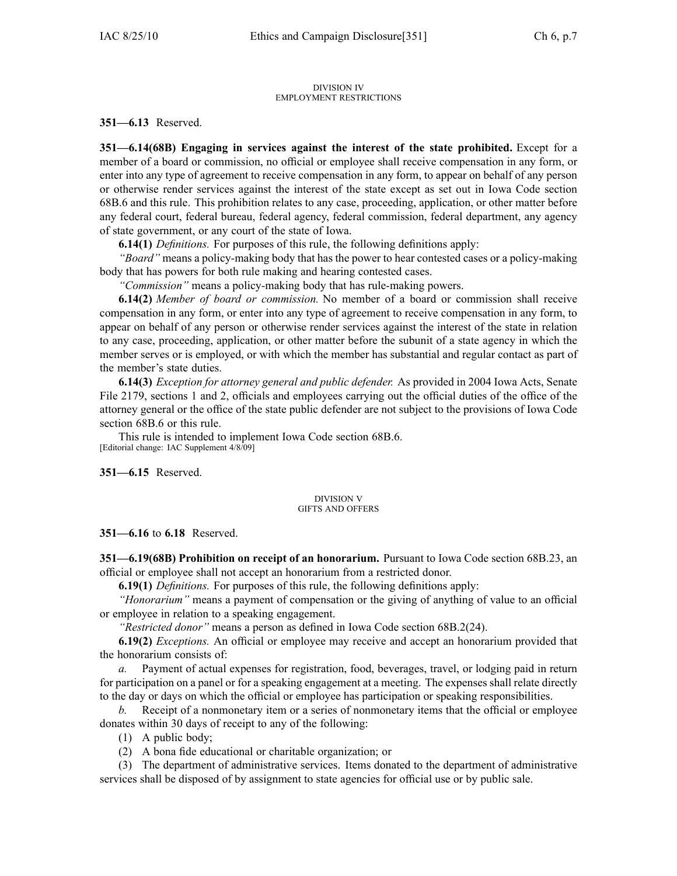#### DIVISION IV EMPLOYMENT RESTRICTIONS

**351—6.13** Reserved.

**351—6.14(68B) Engaging in services against the interest of the state prohibited.** Except for <sup>a</sup> member of <sup>a</sup> board or commission, no official or employee shall receive compensation in any form, or enter into any type of agreemen<sup>t</sup> to receive compensation in any form, to appear on behalf of any person or otherwise render services against the interest of the state excep<sup>t</sup> as set out in Iowa Code section 68B.6 and this rule. This prohibition relates to any case, proceeding, application, or other matter before any federal court, federal bureau, federal agency, federal commission, federal department, any agency of state government, or any court of the state of Iowa.

**6.14(1)** *Definitions.* For purposes of this rule, the following definitions apply:

*"Board"* means <sup>a</sup> policy-making body that has the power to hear contested cases or <sup>a</sup> policy-making body that has powers for both rule making and hearing contested cases.

*"Commission"* means <sup>a</sup> policy-making body that has rule-making powers.

**6.14(2)** *Member of board or commission.* No member of <sup>a</sup> board or commission shall receive compensation in any form, or enter into any type of agreemen<sup>t</sup> to receive compensation in any form, to appear on behalf of any person or otherwise render services against the interest of the state in relation to any case, proceeding, application, or other matter before the subunit of <sup>a</sup> state agency in which the member serves or is employed, or with which the member has substantial and regular contact as par<sup>t</sup> of the member's state duties.

**6.14(3)** *Exception for attorney general and public defender.* As provided in 2004 Iowa Acts, Senate File 2179, sections 1 and 2, officials and employees carrying out the official duties of the office of the attorney general or the office of the state public defender are not subject to the provisions of Iowa Code section 68B.6 or this rule.

This rule is intended to implement Iowa Code section 68B.6. [Editorial change: IAC Supplement 4/8/09]

**351—6.15** Reserved.

### DIVISION V GIFTS AND OFFERS

**351—6.16** to **6.18** Reserved.

**351—6.19(68B) Prohibition on receipt of an honorarium.** Pursuant to Iowa Code section 68B.23, an official or employee shall not accep<sup>t</sup> an honorarium from <sup>a</sup> restricted donor.

**6.19(1)** *Definitions.* For purposes of this rule, the following definitions apply:

*"Honorarium"* means <sup>a</sup> paymen<sup>t</sup> of compensation or the giving of anything of value to an official or employee in relation to <sup>a</sup> speaking engagement.

*"Restricted donor"* means <sup>a</sup> person as defined in Iowa Code section 68B.2(24).

**6.19(2)** *Exceptions.* An official or employee may receive and accep<sup>t</sup> an honorarium provided that the honorarium consists of:

*a.* Payment of actual expenses for registration, food, beverages, travel, or lodging paid in return for participation on <sup>a</sup> panel or for <sup>a</sup> speaking engagemen<sup>t</sup> at <sup>a</sup> meeting. The expenses shall relate directly to the day or days on which the official or employee has participation or speaking responsibilities.

*b.* Receipt of <sup>a</sup> nonmonetary item or <sup>a</sup> series of nonmonetary items that the official or employee donates within 30 days of receipt to any of the following:

(1) A public body;

(2) A bona fide educational or charitable organization; or

(3) The department of administrative services. Items donated to the department of administrative services shall be disposed of by assignment to state agencies for official use or by public sale.